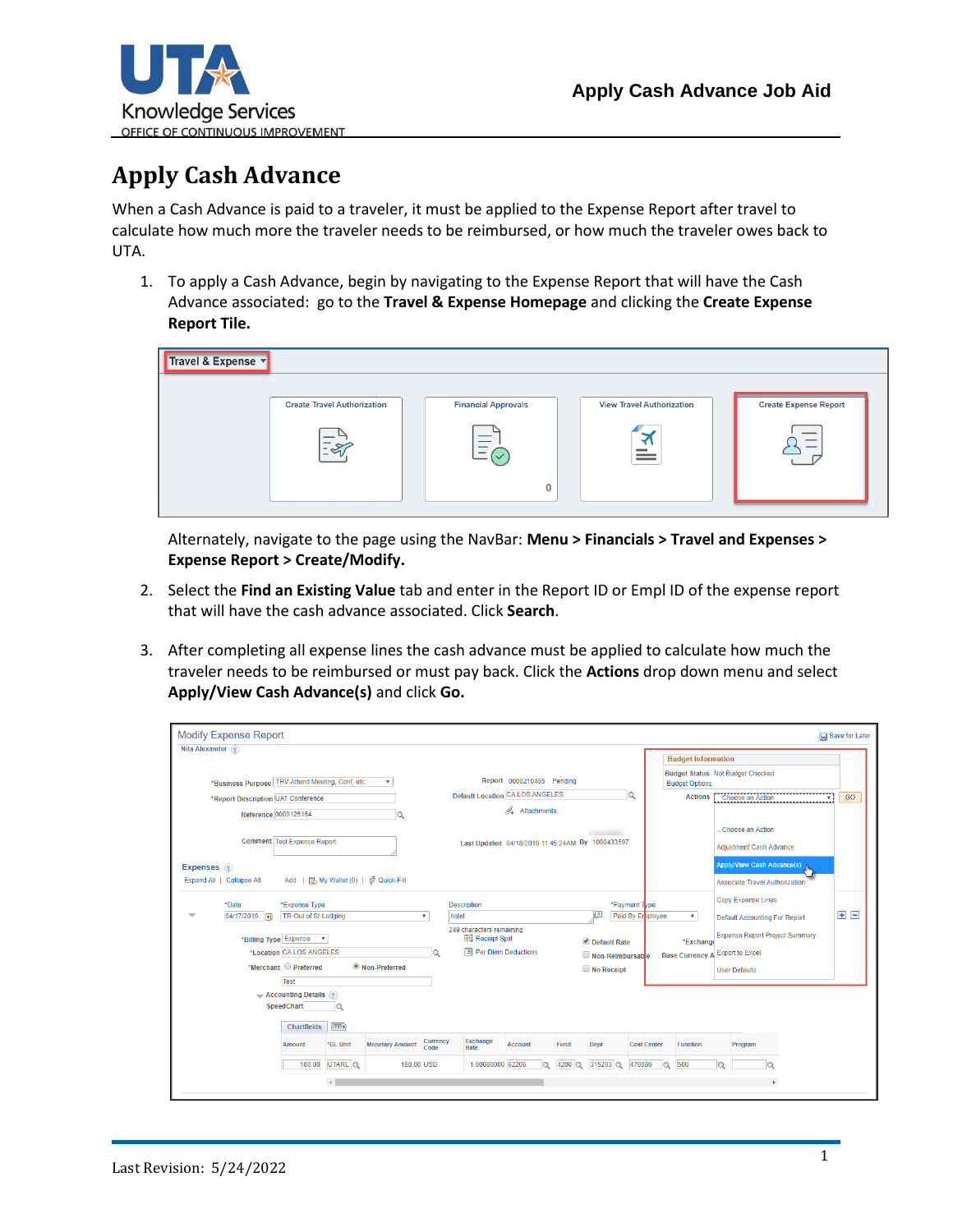

## **Apply Cash Advance**

When a Cash Advance is paid to a traveler, it must be applied to the Expense Report after travel to calculate how much more the traveler needs to be reimbursed, or how much the traveler owes back to UTA.

1. To apply a Cash Advance, begin by navigating to the Expense Report that will have the Cash Advance associated: go to the **Travel & Expense Homepage** and clicking the **Create Expense Report Tile.**

| Travel & Expense v |                                    |                            |                                  |                              |
|--------------------|------------------------------------|----------------------------|----------------------------------|------------------------------|
|                    | <b>Create Travel Authorization</b> | <b>Financial Approvals</b> | <b>View Travel Authorization</b> | <b>Create Expense Report</b> |
|                    | $\overline{\mathscr{L}}$           | __<br>0                    | ≝                                | $\overline{\phantom{a}}$     |

Alternately, navigate to the page using the NavBar: **Menu > Financials > Travel and Expenses > Expense Report > Create/Modify.**

- 2. Select the **Find an Existing Value** tab and enter in the Report ID or Empl ID of the expense report that will have the cash advance associated. Click **Search**.
- 3. After completing all expense lines the cash advance must be applied to calculate how much the traveler needs to be reimbursed or must pay back. Click the **Actions** drop down menu and select **Apply/View Cash Advance(s)** and click **Go.**

| <b>Modify Expense Report</b>                                                                                                                                                    |                                                                                                                                      |                                         |                                           |                                       |                                                                                                            |                                                                |                |                                                     |                                   |                                                                                                                 |          |                                                                                                                                                |              | Save for Later |
|---------------------------------------------------------------------------------------------------------------------------------------------------------------------------------|--------------------------------------------------------------------------------------------------------------------------------------|-----------------------------------------|-------------------------------------------|---------------------------------------|------------------------------------------------------------------------------------------------------------|----------------------------------------------------------------|----------------|-----------------------------------------------------|-----------------------------------|-----------------------------------------------------------------------------------------------------------------|----------|------------------------------------------------------------------------------------------------------------------------------------------------|--------------|----------------|
| Nita Alexander (?)<br>*Business Purpose TRV-Attend Meeting, Conf, etc.<br>*Report Description UAT Conference<br>Reference 0000125164<br>Expenses 2<br>Expand All   Collapse All | <b>Comment Test Expense Report</b><br>Add:   2 My Wallet (0)   多 Quick-Fill                                                          |                                         | $\overline{\mathbf{v}}$<br>$\overline{Q}$ |                                       | <b>Default Location CA LOS ANGELES</b><br>Last Updated 04/18/2019 11:45:24AM By 1000433597                 | Report 0000210465 Pending<br>$\mathscr{A}_\bullet$ Attachments |                |                                                     | Q                                 | <b>Budget Information</b><br><b>Budget Status Not Budget Checked</b><br><b>Budget Options</b><br><b>Actions</b> |          | Choose an Action<br>Choose an Action<br>Adjustment Cash Advance<br>Apply/View Cash Advance(s)<br><b>Associate Travel Authorization</b>         | $\mathbf{v}$ | GO             |
| *Date<br>04/17/2019<br>*Billing Type Expense                                                                                                                                    | *Expense Type<br>TR-Out of St-Lodging<br>$\boldsymbol{\mathrm{v}}$<br>*Location CA LOS ANGELES<br>*Merchant Preferred<br><b>Test</b> |                                         | <sup>O</sup> Non-Preferred                | $\boldsymbol{\mathrm{v}}$<br>$\alpha$ | <b>Description</b><br>hotel<br>249 characters remaining<br><b>Big</b> Receipt Split<br>Per Diem Deductions |                                                                |                | 四<br>Default Rate<br>Non-Reimbursable<br>No Receipt | *Payment Type<br>Paid By Enployee | $\boldsymbol{\mathrm{v}}$<br>*Exchange<br><b>Base Currency</b>                                                  |          | Copy Expense Lines<br>Default Accounting For Report<br><b>Expense Report Project Summary</b><br><b>Export to Excel</b><br><b>User Defaults</b> |              | E E            |
|                                                                                                                                                                                 | $\rightarrow$ Accounting Details ?<br>SpeedChart<br><b>Chartfields</b><br><b>Amount</b><br>180.00                                    | Q<br>$\boxed{=}$<br>*GL Unit<br>UTARL Q | <b>Monetary Amount</b><br>180.00 USD      | Currency<br>Code                      | Exchange<br>Rate<br>1.00000000 62206                                                                       | <b>Account</b><br>$\alpha$                                     | Fund<br>4200 Q | Dept<br>315203 Q                                    | <b>Cost Center</b><br>470086      | <b>Function</b><br>500<br>$\alpha$                                                                              | $\Omega$ | Program<br>Q                                                                                                                                   |              |                |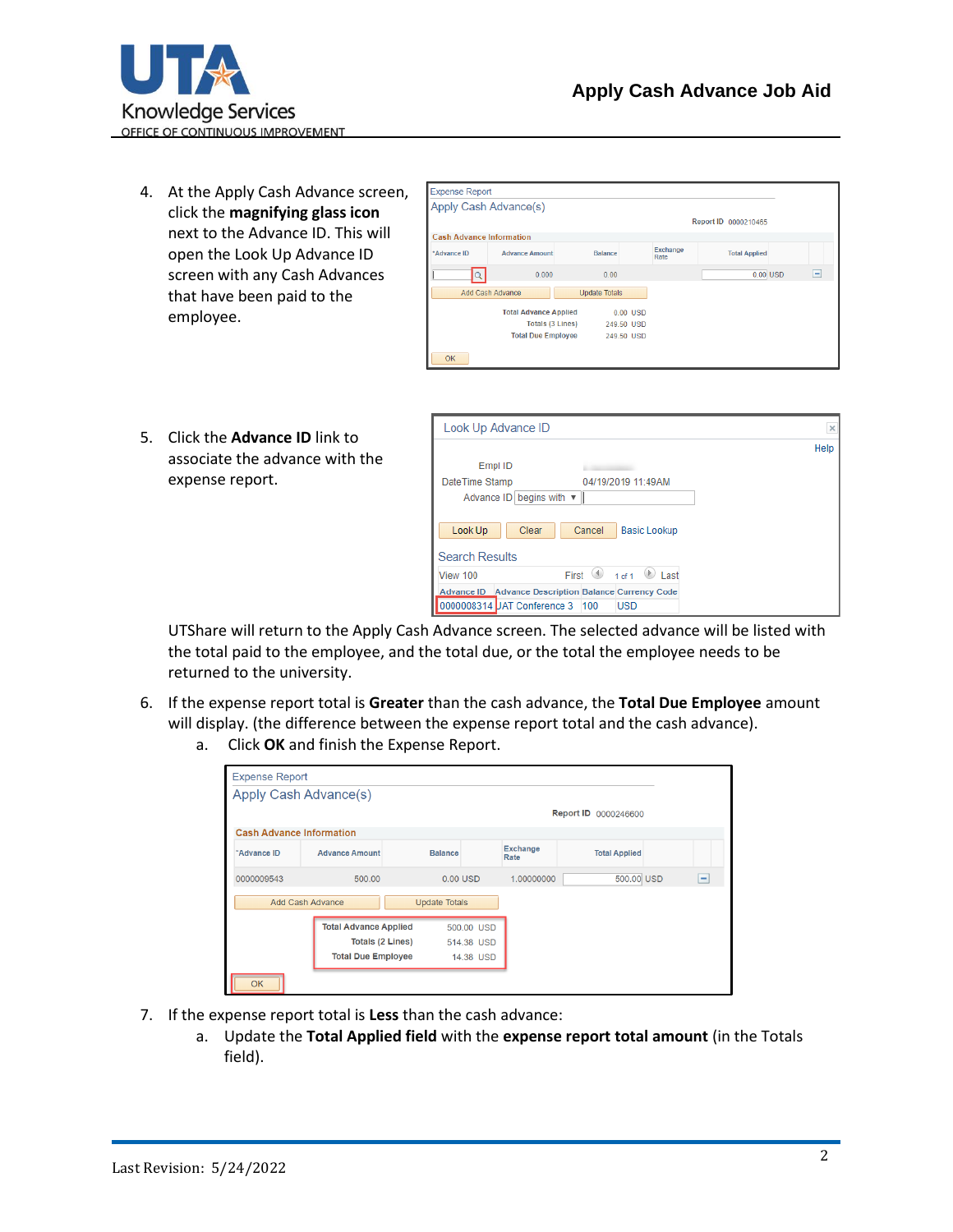

4. At the Apply Cash Advance screen, click the **magnifying glass icon** next to the Advance ID. This will open the Look Up Advance ID screen with any Cash Advances that have been paid to the employee.

|                                 | Apply Cash Advance(s)        |                      |            |                  |                      |                |
|---------------------------------|------------------------------|----------------------|------------|------------------|----------------------|----------------|
|                                 |                              |                      |            |                  | Report ID 0000210465 |                |
| <b>Cash Advance Information</b> |                              |                      |            |                  |                      |                |
| *Advance ID                     | <b>Advance Amount</b>        | <b>Balance</b>       |            | Exchange<br>Rate | <b>Total Applied</b> |                |
|                                 | 0.000                        | 0.00                 |            |                  | $0.00$ USD           | $\overline{ }$ |
|                                 | Add Cash Advance             | <b>Update Totals</b> |            |                  |                      |                |
|                                 | <b>Total Advance Applied</b> |                      | 0.00 USD   |                  |                      |                |
|                                 | <b>Totals (3 Lines)</b>      |                      | 249.50 USD |                  |                      |                |
|                                 | <b>Total Due Employee</b>    |                      | 249.50 USD |                  |                      |                |
| <b>OK</b>                       |                              |                      |            |                  |                      |                |

5. Click the **Advance ID** link to associate the advance with the expense report.

| Look Up Advance ID                  |                                                                    |      |
|-------------------------------------|--------------------------------------------------------------------|------|
|                                     |                                                                    | Help |
| Empl ID                             |                                                                    |      |
| DateTime Stamp                      | 04/19/2019 11:49AM                                                 |      |
| Advance ID begins with $\mathbf{v}$ |                                                                    |      |
|                                     |                                                                    |      |
| Look Up                             | Cancel<br>Clear<br><b>Basic Lookup</b>                             |      |
|                                     |                                                                    |      |
| <b>Search Results</b>               |                                                                    |      |
| View 100                            | 1 of 1 $\mathbb{D}$<br>First $\langle \phi \rangle$<br><b>Last</b> |      |
|                                     | Advance ID Advance Description Balance Currency Code               |      |
|                                     | 0000008314 JAT Conference 3 100                                    |      |

UTShare will return to the Apply Cash Advance screen. The selected advance will be listed with the total paid to the employee, and the total due, or the total the employee needs to be returned to the university.

- 6. If the expense report total is **Greater** than the cash advance, the **Total Due Employee** amount will display. (the difference between the expense report total and the cash advance).
	- a. Click **OK** and finish the Expense Report.

| <b>Expense Report</b>           |                              |                      |            |                         |                      |                          |  |
|---------------------------------|------------------------------|----------------------|------------|-------------------------|----------------------|--------------------------|--|
|                                 | Apply Cash Advance(s)        |                      |            |                         |                      |                          |  |
|                                 |                              |                      |            |                         | Report ID 0000246600 |                          |  |
| <b>Cash Advance Information</b> |                              |                      |            |                         |                      |                          |  |
| *Advance ID                     | <b>Advance Amount</b>        | <b>Balance</b>       |            | <b>Exchange</b><br>Rate | <b>Total Applied</b> |                          |  |
| 0000009543                      | 500.00                       | $0.00$ USD           |            | 1.00000000              | 500.00 USD           | $\overline{\phantom{a}}$ |  |
|                                 | Add Cash Advance             | <b>Update Totals</b> |            |                         |                      |                          |  |
|                                 | <b>Total Advance Applied</b> |                      | 500,00 USD |                         |                      |                          |  |
|                                 | <b>Totals (2 Lines)</b>      |                      | 514.38 USD |                         |                      |                          |  |
|                                 | <b>Total Due Employee</b>    |                      | 14.38 USD  |                         |                      |                          |  |
| <b>OK</b>                       |                              |                      |            |                         |                      |                          |  |

- 7. If the expense report total is **Less** than the cash advance:
	- a. Update the **Total Applied field** with the **expense report total amount** (in the Totals field).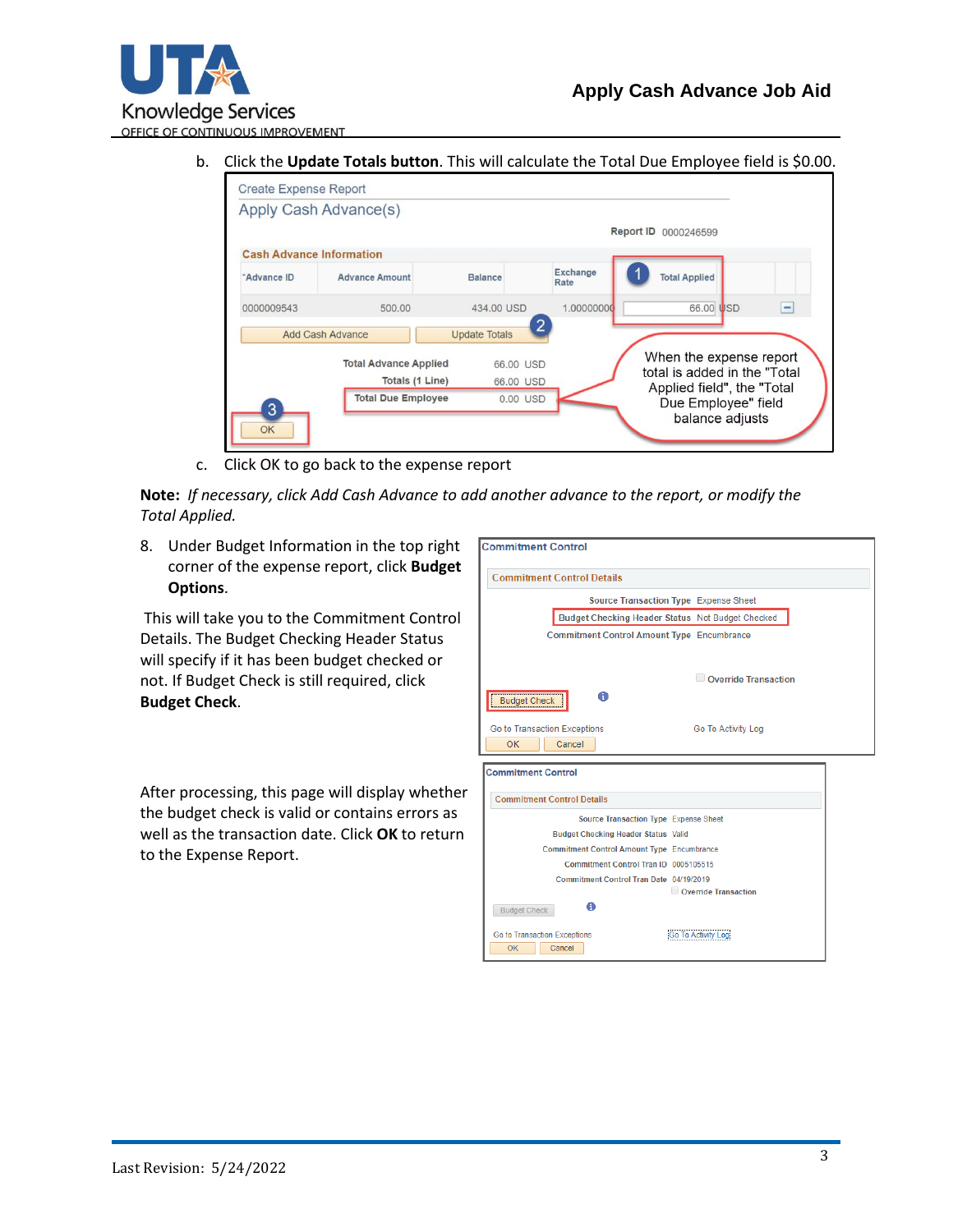

b. Click the **Update Totals button**. This will calculate the Total Due Employee field is \$0.00.



c. Click OK to go back to the expense report

**Note:** *If necessary, click Add Cash Advance to add another advance to the report, or modify the Total Applied.*

8. Under Budget Information in the top right corner of the expense report, click **Budget Options**.

This will take you to the Commitment Control Details. The Budget Checking Header Status will specify if it has been budget checked or not. If Budget Check is still required, click **Budget Check**.

After processing, this page will display whether the budget check is valid or contains errors as well as the transaction date. Click **OK** to return to the Expense Report.

|                           | <b>Commitment Control Details</b>                  |  |
|---------------------------|----------------------------------------------------|--|
|                           | Source Transaction Type Expense Sheet              |  |
|                           | Budget Checking Header Status Not Budget Checked   |  |
|                           | <b>Commitment Control Amount Type Encumbrance</b>  |  |
|                           |                                                    |  |
|                           | Override Transaction                               |  |
|                           |                                                    |  |
| <b>Budget Check</b>       | A                                                  |  |
|                           |                                                    |  |
|                           |                                                    |  |
|                           | Go to Transaction Exceptions<br>Go To Activity Log |  |
| OK                        | Cancel                                             |  |
| <b>Commitment Control</b> |                                                    |  |
|                           |                                                    |  |
|                           | <b>Commitment Control Details</b>                  |  |
|                           | Source Transaction Type Expense Sheet              |  |
|                           | <b>Budget Checking Header Status Valid</b>         |  |
|                           | <b>Commitment Control Amount Type Encumbrance</b>  |  |
|                           | Commitment Control Tran ID 0005105515              |  |
|                           | Commitment Control Tran Date 04/19/2019            |  |
|                           | Override Transaction                               |  |
| <b>Budget Check</b>       | A                                                  |  |